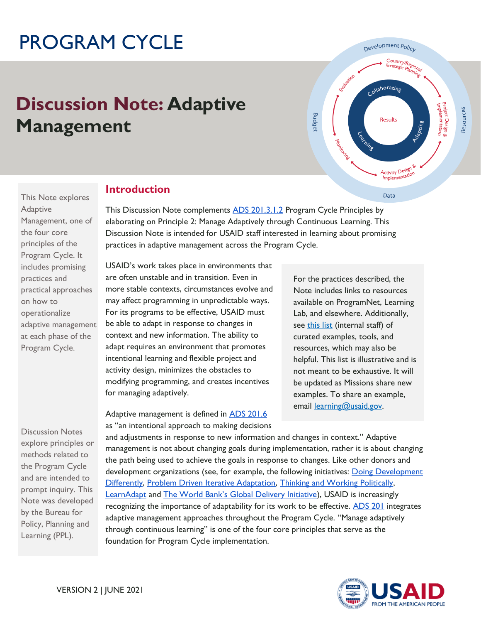# PROGRAM CYCLE

## **Discussion Note: Adaptive Management**



This Note explores Adaptive Management, one of the four core principles of the Program Cycle. It includes promising practices and practical approaches on how to operationalize adaptive management at each phase of the Program Cycle.

Discussion Notes explore principles or methods related to the Program Cycle and are intended to prompt inquiry. This Note was developed by the Bureau for Policy, Planning and Learning (PPL).

## **Introduction**

This Discussion Note complements [ADS 201.3.1.2 P](https://www.usaid.gov/ads/policy/200/201)rogram Cycle Principles by elaborating on Principle 2: Manage Adaptively through Continuous Learning. This Discussion Note is intended for USAID staff interested in learning about promising practices in adaptive management across the Program Cycle.

USAID's work takes place in environments that are often unstable and in transition. Even in more stable contexts, circumstances evolve and may affect programming in unpredictable ways. For its programs to be effective, USAID must be able to adapt in response to changes in context and new information. The ability to adapt requires an environment that promotes intentional learning and flexible project and activity design, minimizes the obstacles to modifying programming, and creates incentives for managing adaptively.

Adaptive management is defined in **ADS 201.6** as "an intentional approach to making decisions For the practices described, the Note includes links to resources available on ProgramNet, Learning Lab, and elsewhere. Additionally, see [this list](https://programnet.usaid.gov/resource/adaptive-management-discussion-note-resources) (internal staff) of curated examples, tools, and resources, which may also be helpful. This list is illustrative and is not meant to be exhaustive. It will be updated as Missions share new examples. To share an example, email [learning@usaid.gov.](mailto:learning@usaid.gov)

and adjustments in response to new information and changes in context." Adaptive management is not about changing goals during implementation, rather it is about changing the path being used to achieve the goals in response to changes. Like other donors and development organizations (see, for example, the following initiatives: Doing Development [Differently,](https://odi.org/en/publications/doing-development-differently-who-we-are-what-were-doing-and-what-were-learning/) [Problem Driven Iterative Adaptation,](https://bsc.cid.harvard.edu/) [Thinking and Working Politically,](https://twpcommunity.org/) [LearnAdapt](https://odi.org/en/about/our-work/learnadapt-innovation-and-adaptation-in-dfid/) and [The World Bank's Global Delivery Initiative](http://www.globaldeliveryinitiative.org/)), USAID is increasingly recognizing the importance of adaptability for its work to be effective. [ADS 201](https://www.usaid.gov/ads/policy/200/201) integrates adaptive management approaches throughout the Program Cycle. "Manage adaptively through continuous learning" is one of the four core principles that serve as the foundation for Program Cycle implementation.

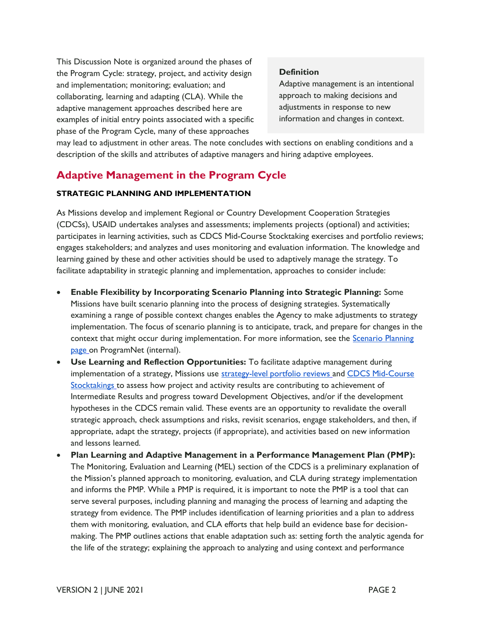This Discussion Note is organized around the phases of the Program Cycle: strategy, project, and activity design and implementation; monitoring; evaluation; and collaborating, learning and adapting (CLA). While the adaptive management approaches described here are examples of initial entry points associated with a specific phase of the Program Cycle, many of these approaches

#### **Definition**

Adaptive management is an intentional approach to making decisions and adjustments in response to new information and changes in context.

may lead to adjustment in other areas. The note concludes with sections on enabling conditions and a description of the skills and attributes of adaptive managers and hiring adaptive employees.

### **Adaptive Management in the Program Cycle**

#### **STRATEGIC PLANNING AND IMPLEMENTATION**

As Missions develop and implement Regional or Country Development Cooperation Strategies (CDCSs), USAID undertakes analyses and assessments; implements projects (optional) and activities; participates in learning activities, such as CDCS Mid-Course Stocktaking exercises and portfolio reviews; engages stakeholders; and analyzes and uses monitoring and evaluation information. The knowledge and learning gained by these and other activities should be used to adaptively manage the strategy. To facilitate adaptability in strategic planning and implementation, approaches to consider include:

- **Enable Flexibility by Incorporating Scenario Planning into Strategic Planning:** Some Missions have built scenario planning into the process of designing strategies. Systematically examining a range of possible context changes enables the Agency to make adjustments to strategy implementation. The focus of scenario planning is to anticipate, track, and prepare for changes in the context that might occur during implementation. For more information, see the [Scenario Planning](https://programnet.usaid.gov/resource/scenario-planning-usaid)  [page o](https://programnet.usaid.gov/resource/scenario-planning-usaid)n ProgramNet (internal).
- **Use Learning and Reflection Opportunities:** To facilitate adaptive management during implementation of a strategy, Missions use [strategy-level portfolio reviews](https://usaidlearninglab.org/library/how-note-strategy-level-portfolio-review) and CDCS Mid-Course [Stocktakings t](https://usaidlearninglab.org/qrg/portfolio-review-and-cdcs-mid-course-stocktaking)o assess how project and activity results are contributing to achievement of Intermediate Results and progress toward Development Objectives, and/or if the development hypotheses in the CDCS remain valid. These events are an opportunity to revalidate the overall strategic approach, check assumptions and risks, revisit scenarios, engage stakeholders, and then, if appropriate, adapt the strategy, projects (if appropriate), and activities based on new information and lessons learned.
- **Plan Learning and Adaptive Management in a Performance Management Plan (PMP):**  The Monitoring, Evaluation and Learning (MEL) section of the CDCS is a preliminary explanation of the Mission's planned approach to monitoring, evaluation, and CLA during strategy implementation and informs the PMP. While a PMP is required, it is important to note the PMP is a tool that can serve several purposes, including planning and managing the process of learning and adapting the strategy from evidence. The PMP includes identification of learning priorities and a plan to address them with monitoring, evaluation, and CLA efforts that help build an evidence base for decisionmaking. The PMP outlines actions that enable adaptation such as: setting forth the analytic agenda for the life of the strategy; explaining the approach to analyzing and using context and performance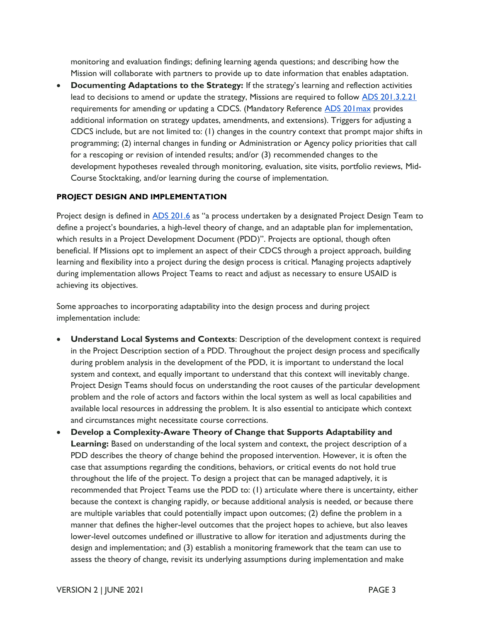monitoring and evaluation findings; defining learning agenda questions; and describing how the Mission will collaborate with partners to provide up to date information that enables adaptation.

• **Documenting Adaptations to the Strategy:** If the strategy's learning and reflection activities lead to decisions to amend or update the strategy, Missions are required to follow [ADS 201.3.2.21](https://www.usaid.gov/ads/policy/200/201)  requirements for amending or updating a CDCS. (Mandatory Reference [ADS 201max](https://www.usaid.gov/ads/policy/200/201max) provides additional information on strategy updates, amendments, and extensions). Triggers for adjusting a CDCS include, but are not limited to: (1) changes in the country context that prompt major shifts in programming; (2) internal changes in funding or Administration or Agency policy priorities that call for a rescoping or revision of intended results; and/or (3) recommended changes to the development hypotheses revealed through monitoring, evaluation, site visits, portfolio reviews, Mid-Course Stocktaking, and/or learning during the course of implementation.

#### **PROJECT DESIGN AND IMPLEMENTATION**

Project design is defined in **ADS 201.6** as "a process undertaken by a designated Project Design Team to define a project's boundaries, a high-level theory of change, and an adaptable plan for implementation, which results in a Project Development Document (PDD)". Projects are optional, though often beneficial. If Missions opt to implement an aspect of their CDCS through a project approach, building learning and flexibility into a project during the design process is critical. Managing projects adaptively during implementation allows Project Teams to react and adjust as necessary to ensure USAID is achieving its objectives.

Some approaches to incorporating adaptability into the design process and during project implementation include:

- **Understand Local Systems and Contexts**: Description of the development context is required in the Project Description section of a PDD. Throughout the project design process and specifically during problem analysis in the development of the PDD, it is important to understand the local system and context, and equally important to understand that this context will inevitably change. Project Design Teams should focus on understanding the root causes of the particular development problem and the role of actors and factors within the local system as well as local capabilities and available local resources in addressing the problem. It is also essential to anticipate which context and circumstances might necessitate course corrections.
- **Develop a Complexity-Aware Theory of Change that Supports Adaptability and Learning:** Based on understanding of the local system and context, the project description of a PDD describes the theory of change behind the proposed intervention. However, it is often the case that assumptions regarding the conditions, behaviors, or critical events do not hold true throughout the life of the project. To design a project that can be managed adaptively, it is recommended that Project Teams use the PDD to: (1) articulate where there is uncertainty, either because the context is changing rapidly, or because additional analysis is needed, or because there are multiple variables that could potentially impact upon outcomes; (2) define the problem in a manner that defines the higher-level outcomes that the project hopes to achieve, but also leaves lower-level outcomes undefined or illustrative to allow for iteration and adjustments during the design and implementation; and (3) establish a monitoring framework that the team can use to assess the theory of change, revisit its underlying assumptions during implementation and make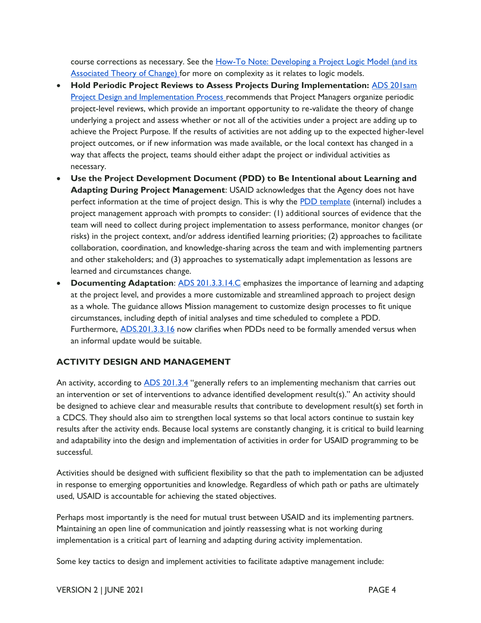course corrections as necessary. See the How-To Note: Developing a Project Logic Model (and its [Associated Theory of Change\) f](https://usaidlearninglab.org/library/how-note-developing-project-logic-model-and-its-associated-theory-change)or more on complexity as it relates to logic models.

- **Hold Periodic Project Reviews to Assess Projects During Implementation:** [ADS 201sam](https://www.usaid.gov/sites/default/files/documents/201sam.pdf)  [Project Design and Implementation Process r](https://www.usaid.gov/sites/default/files/documents/201sam.pdf)ecommends that Project Managers organize periodic project-level reviews, which provide an important opportunity to re-validate the theory of change underlying a project and assess whether or not all of the activities under a project are adding up to achieve the Project Purpose. If the results of activities are not adding up to the expected higher-level project outcomes, or if new information was made available, or the local context has changed in a way that affects the project, teams should either adapt the project or individual activities as necessary.
- **Use the Project Development Document (PDD) to Be Intentional about Learning and Adapting During Project Management**: USAID acknowledges that the Agency does not have perfect information at the time of project design. This is why the [PDD template](https://docs.google.com/document/d/1r20WU9bKtPanW_tNibujr0lfKQ-7t2e0-EdZ9efETPE/edit) (internal) includes a project management approach with prompts to consider: (1) additional sources of evidence that the team will need to collect during project implementation to assess performance, monitor changes (or risks) in the project context, and/or address identified learning priorities; (2) approaches to facilitate collaboration, coordination, and knowledge-sharing across the team and with implementing partners and other stakeholders; and (3) approaches to systematically adapt implementation as lessons are learned and circumstances change.
- **Documenting Adaptation**: [ADS 201.3.3.14.C](https://www.usaid.gov/ads/policy/200/201) emphasizes the importance of learning and adapting at the project level, and provides a more customizable and streamlined approach to project design as a whole. The guidance allows Mission management to customize design processes to fit unique circumstances, including depth of initial analyses and time scheduled to complete a PDD. Furthermore, [ADS.201.3.3.16](https://www.usaid.gov/ads/policy/200/201) now clarifies when PDDs need to be formally amended versus when an informal update would be suitable.

#### **ACTIVITY DESIGN AND MANAGEMENT**

An activity, according to [ADS 201.3.4](https://www.usaid.gov/ads/policy/200/201) "generally refers to an implementing mechanism that carries out an intervention or set of interventions to advance identified development result(s)." An activity should be designed to achieve clear and measurable results that contribute to development result(s) set forth in a CDCS. They should also aim to strengthen local systems so that local actors continue to sustain key results after the activity ends. Because local systems are constantly changing, it is critical to build learning and adaptability into the design and implementation of activities in order for USAID programming to be successful.

Activities should be designed with sufficient flexibility so that the path to implementation can be adjusted in response to emerging opportunities and knowledge. Regardless of which path or paths are ultimately used, USAID is accountable for achieving the stated objectives.

Perhaps most importantly is the need for mutual trust between USAID and its implementing partners. Maintaining an open line of communication and jointly reassessing what is not working during implementation is a critical part of learning and adapting during activity implementation.

Some key tactics to design and implement activities to facilitate adaptive management include: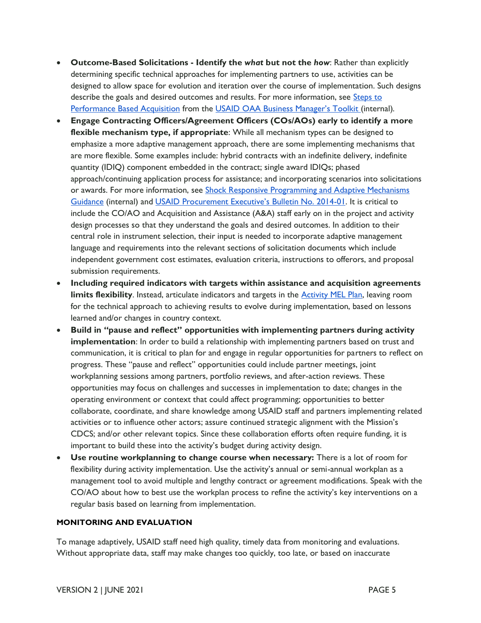- **Outcome-Based Solicitations - Identify the** *what* **but not the** *how*: Rather than explicitly determining specific technical approaches for implementing partners to use, activities can be designed to allow space for evolution and iteration over the course of implementation. Such designs describe the goals and desired outcomes and results. For more information, see Steps to [Performance Based Acquisition f](https://pba.app.cloud.gov/app/#/pba)rom the [USAID OAA Business Manager's Toolkit](https://pages.usaid.gov/M/OAA/m-oaa-business-managers-group) (internal).
- **Engage Contracting Officers/Agreement Officers (COs/AOs) early to identify a more flexible mechanism type, if appropriate**: While all mechanism types can be designed to emphasize a more adaptive management approach, there are some implementing mechanisms that are more flexible. Some examples include: hybrid contracts with an indefinite delivery, indefinite quantity (IDIQ) component embedded in the contract; single award IDIQs; phased approach/continuing application process for assistance; and incorporating scenarios into solicitations or awards. For more information, see Shock Responsive Programming and Adaptive Mechanisms [Guidance \(](https://programnet.usaid.gov/resource/shock-responsive-programming-and-adaptive-mechanisms-guidance)internal) and US[AID Procurement Executive's Bulletin No. 2014](https://www.usaid.gov/sites/default/files/peb2014_01.pdf)-01. It is critical to include the CO/AO and Acquisition and Assistance (A&A) staff early on in the project and activity design processes so that they understand the goals and desired outcomes. In addition to their central role in instrument selection, their input is needed to incorporate adaptive management language and requirements into the relevant sections of solicitation documents which include independent government cost estimates, evaluation criteria, instructions to offerors, and proposal submission requirements.
- **Including required indicators with targets within assistance and acquisition agreements limits flexibility**. Instead, articulate indicators and targets in the [Activity MEL Plan,](https://usaidlearninglab.org/library/how-note-activity-monitoring-evaluation-and-learning-plan) leaving room for the technical approach to achieving results to evolve during implementation, based on lessons learned and/or changes in country context.
- **Build in "pause and reflect" opportunities with implementing partners during activity implementation**: In order to build a relationship with implementing partners based on trust and communication, it is critical to plan for and engage in regular opportunities for partners to reflect on progress. These "pause and reflect" opportunities could include partner meetings, joint workplanning sessions among partners, portfolio reviews, and after-action reviews. These opportunities may focus on challenges and successes in implementation to date; changes in the operating environment or context that could affect programming; opportunities to better collaborate, coordinate, and share knowledge among USAID staff and partners implementing related activities or to influence other actors; assure continued strategic alignment with the Mission's CDCS; and/or other relevant topics. Since these collaboration efforts often require funding, it is important to build these into the activity's budget during activity design.
- **Use routine workplanning to change course when necessary:** There is a lot of room for flexibility during activity implementation. Use the activity's annual or semi-annual workplan as a management tool to avoid multiple and lengthy contract or agreement modifications. Speak with the CO/AO about how to best use the workplan process to refine the activity's key interventions on a regular basis based on learning from implementation.

#### **MONITORING AND EVALUATION**

To manage adaptively, USAID staff need high quality, timely data from monitoring and evaluations. Without appropriate data, staff may make changes too quickly, too late, or based on inaccurate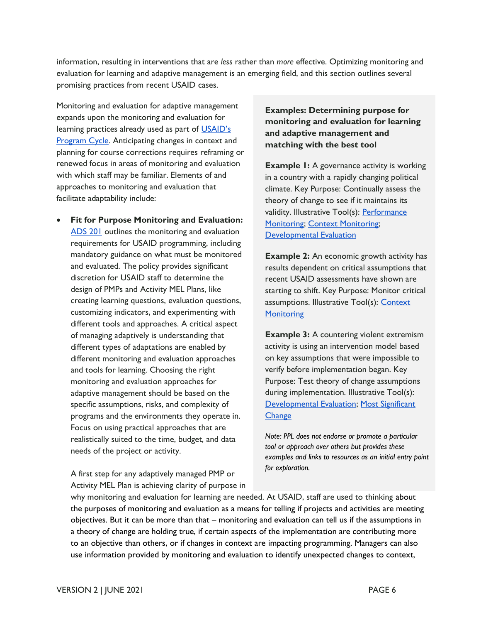information, resulting in interventions that are *less* rather than *more* effective. Optimizing monitoring and evaluation for learning and adaptive management is an emerging field, and this section outlines several promising practices from recent USAID cases.

Monitoring and evaluation for adaptive management expands upon the monitoring and evaluation for learning practices already used as part of USAID's [Program Cycle.](https://www.usaid.gov/ads/policy/200/201) Anticipating changes in context and planning for course corrections requires reframing or renewed focus in areas of monitoring and evaluation with which staff may be familiar. Elements of and approaches to monitoring and evaluation that facilitate adaptability include:

• **Fit for Purpose Monitoring and Evaluation:**  [ADS 201](https://www.usaid.gov/ads/policy/200/201) outlines the monitoring and evaluation requirements for USAID programming, including mandatory guidance on what must be monitored and evaluated. The policy provides significant discretion for USAID staff to determine the design of PMPs and Activity MEL Plans, like creating learning questions, evaluation questions, customizing indicators, and experimenting with different tools and approaches. A critical aspect of managing adaptively is understanding that different types of adaptations are enabled by different monitoring and evaluation approaches and tools for learning. Choosing the right monitoring and evaluation approaches for adaptive management should be based on the specific assumptions, risks, and complexity of programs and the environments they operate in. Focus on using practical approaches that are realistically suited to the time, budget, and data needs of the project or activity.

**Examples: Determining purpose for monitoring and evaluation for learning and adaptive management and matching with the best tool** 

**Example 1:** A governance activity is working in a country with a rapidly changing political climate. Key Purpose: Continually assess the theory of change to see if it maintains its validity. Illustrative Tool(s): Performance [Monitoring;](https://usaidlearninglab.org/monitoring-toolkit?tab=3&subtab=2) [Context Monitoring;](https://usaidlearninglab.org/monitoring-toolkit?tab=3&subtab=3) [Developmental Evaluation](https://www.betterevaluation.org/en/plan/approach/developmental_evaluation) 

**Example 2:** An economic growth activity has results dependent on critical assumptions that recent USAID assessments have shown are starting to shift. Key Purpose: Monitor critical assumptions. Illustrative Tool(s): Context **Monitoring** 

**Example 3:** A countering violent extremism activity is using an intervention model based on key assumptions that were impossible to verify before implementation began. Key Purpose: Test theory of change assumptions during implementation. Illustrative Tool(s): [Developmental Evaluation;](https://www.betterevaluation.org/en/plan/approach/developmental_evaluation) [Most Significant](https://usaidlearninglab.org/library/most-significant-change-complexity-aware-monitoring-approach)  **Change** 

*Note: PPL does not endorse or promote a particular tool or approach over others but provides these examples and links to resources as an initial entry point* 

*for exploration.* A first step for any adaptively managed PMP or Activity MEL Plan is achieving clarity of purpose in

why monitoring and evaluation for learning are needed. At USAID, staff are used to thinking about the purposes of monitoring and evaluation as a means for telling if projects and activities are meeting objectives. But it can be more than that – monitoring and evaluation can tell us if the assumptions in a theory of change are holding true, if certain aspects of the implementation are contributing more to an objective than others, or if changes in context are impacting programming. Managers can also use information provided by monitoring and evaluation to identify unexpected changes to context,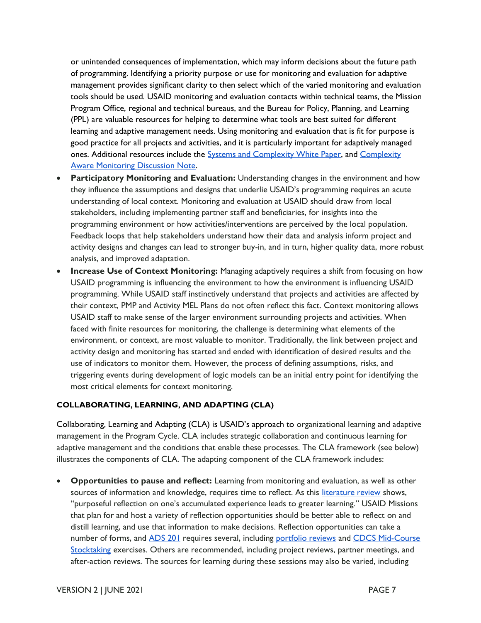or unintended consequences of implementation, which may inform decisions about the future path of programming. Identifying a priority purpose or use for monitoring and evaluation for adaptive management provides significant clarity to then select which of the varied monitoring and evaluation tools should be used. USAID monitoring and evaluation contacts within technical teams, the Mission Program Office, regional and technical bureaus, and the Bureau for Policy, Planning, and Learning (PPL) are valuable resources for helping to determine what tools are best suited for different learning and adaptive management needs. Using monitoring and evaluation that is fit for purpose is good practice for all projects and activities, and it is particularly important for adaptively managed ones. Additional resources include the **Systems and [Complexity](https://usaidlearninglab.org/library/complexity-aware-monitoring-discussion-note-brief) White Paper**, and Complexity [Aware Monitoring Discussion Note.](https://usaidlearninglab.org/library/complexity-aware-monitoring-discussion-note-brief) 

- **Participatory Monitoring and Evaluation:** Understanding changes in the environment and how they influence the assumptions and designs that underlie USAID's programming requires an acute understanding of local context. Monitoring and evaluation at USAID should draw from local stakeholders, including implementing partner staff and beneficiaries, for insights into the programming environment or how activities/interventions are perceived by the local population. Feedback loops that help stakeholders understand how their data and analysis inform project and activity designs and changes can lead to stronger buy-in, and in turn, higher quality data, more robust analysis, and improved adaptation.
- **Increase Use of Context Monitoring:** Managing adaptively requires a shift from focusing on how USAID programming is influencing the environment to how the environment is influencing USAID programming. While USAID staff instinctively understand that projects and activities are affected by their context, PMP and Activity MEL Plans do not often reflect this fact. Context monitoring allows USAID staff to make sense of the larger environment surrounding projects and activities. When faced with finite resources for monitoring, the challenge is determining what elements of the environment, or context, are most valuable to monitor. Traditionally, the link between project and activity design and monitoring has started and ended with identification of desired results and the use of indicators to monitor them. However, the process of defining assumptions, risks, and triggering events during development of logic models can be an initial entry point for identifying the most critical elements for context monitoring.

#### **COLLABORATING, LEARNING, AND ADAPTING (CLA)**

Collaborating, Learning and Adapting (CLA) is USAID's approach to organizational learning and adaptive management in the Program Cycle. CLA includes strategic collaboration and continuous learning for adaptive management and the conditions that enable these processes. The CLA framework (see below) illustrates the components of CLA. The adapting component of the CLA framework includes:

• **Opportunities to pause and reflect:** Learning from monitoring and evaluation, as well as other sources of information and knowledge, requires time to reflect. As this [literature review](https://usaidlearninglab.org/library/what-difference-does-CLA-make-key-findings) shows, "purposeful reflection on one's accumulated experience leads to greater learning." USAID Missions that plan for and host a variety of reflection opportunities should be better able to reflect on and distill learning, and use that information to make decisions. Reflection opportunities can take a number of forms, and [ADS 201](https://www.usaid.gov/ads/policy/200/201) requires several, including [portfolio reviews](https://usaidlearninglab.org/library/how-note-strategy-level-portfolio-review) and CDCS Mid-Course [Stocktaking e](https://usaidlearninglab.org/qrg/portfolio-review-and-cdcs-mid-course-stocktaking)xercises. Others are recommended, including project reviews, partner meetings, and after-action reviews. The sources for learning during these sessions may also be varied, including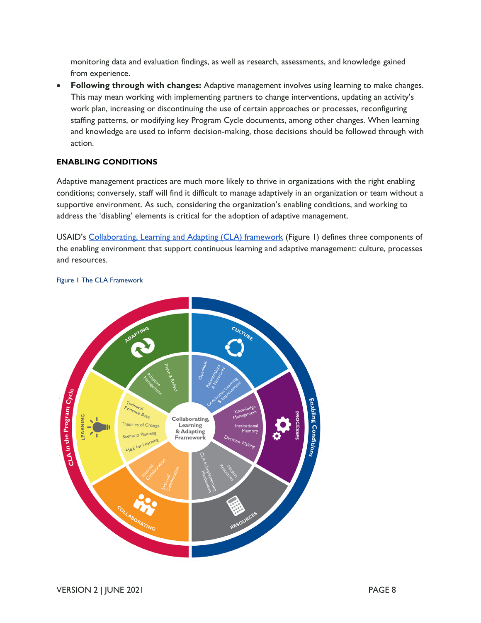monitoring data and evaluation findings, as well as research, assessments, and knowledge gained from experience.

• **Following through with changes:** Adaptive management involves using learning to make changes. This may mean working with implementing partners to change interventions, updating an activity's work plan, increasing or discontinuing the use of certain approaches or processes, reconfiguring staffing patterns, or modifying key Program Cycle documents, among other changes. When learning and knowledge are used to inform decision-making, those decisions should be followed through with action.

#### **ENABLING CONDITIONS**

Adaptive management practices are much more likely to thrive in organizations with the right enabling conditions; conversely, staff will find it difficult to manage adaptively in an organization or team without a supportive environment. As such, considering the organization's enabling conditions, and working to address the 'disabling' elements is critical for the adoption of adaptive management.

USAID's [Collaborating, Learning and Adapting \(CLA\) framework](https://usaidlearninglab.org/sites/default/files/resource/files/cla_maturity_matrix_overview_final.pdf) (Figure 1) defines three components of the enabling environment that support continuous learning and adaptive management: culture, processes and resources.



#### Figure 1 The CLA Framework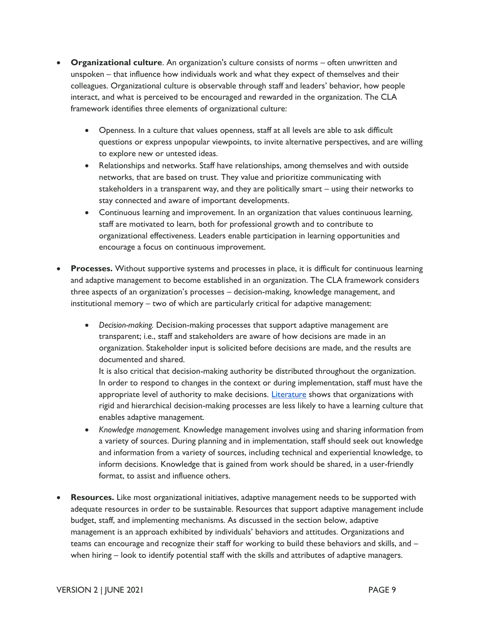- **Organizational culture**. An organization's culture consists of norms often unwritten and unspoken – that influence how individuals work and what they expect of themselves and their colleagues. Organizational culture is observable through staff and leaders' behavior, how people interact, and what is perceived to be encouraged and rewarded in the organization. The CLA framework identifies three elements of organizational culture:
	- Openness. In a culture that values openness, staff at all levels are able to ask difficult questions or express unpopular viewpoints, to invite alternative perspectives, and are willing to explore new or untested ideas.
	- Relationships and networks. Staff have relationships, among themselves and with outside networks, that are based on trust. They value and prioritize communicating with stakeholders in a transparent way, and they are politically smart – using their networks to stay connected and aware of important developments.
	- Continuous learning and improvement. In an organization that values continuous learning, staff are motivated to learn, both for professional growth and to contribute to organizational effectiveness. Leaders enable participation in learning opportunities and encourage a focus on continuous improvement.
- **Processes.** Without supportive systems and processes in place, it is difficult for continuous learning and adaptive management to become established in an organization. The CLA framework considers three aspects of an organization's processes – decision-making, knowledge management, and institutional memory – two of which are particularly critical for adaptive management:
	- *Decision-making.* Decision-making processes that support adaptive management are transparent; i.e., staff and stakeholders are aware of how decisions are made in an organization. Stakeholder input is solicited before decisions are made, and the results are documented and shared.

It is also critical that decision-making authority be distributed throughout the organization. In order to respond to changes in the context or during implementation, staff must have the appropriate level of authority to make decisions. [Literature](https://usaidlearninglab.org/library/what-difference-does-CLA-make-key-findings) shows that organizations with rigid and hierarchical decision-making processes are less likely to have a learning culture that enables adaptive management.

- *Knowledge management.* Knowledge management involves using and sharing information from a variety of sources. During planning and in implementation, staff should seek out knowledge and information from a variety of sources, including technical and experiential knowledge, to inform decisions. Knowledge that is gained from work should be shared, in a user-friendly format, to assist and influence others.
- **Resources.** Like most organizational initiatives, adaptive management needs to be supported with adequate resources in order to be sustainable. Resources that support adaptive management include budget, staff, and implementing mechanisms. As discussed in the section below, adaptive management is an approach exhibited by individuals' behaviors and attitudes. Organizations and teams can encourage and recognize their staff for working to build these behaviors and skills, and – when hiring – look to identify potential staff with the skills and attributes of adaptive managers.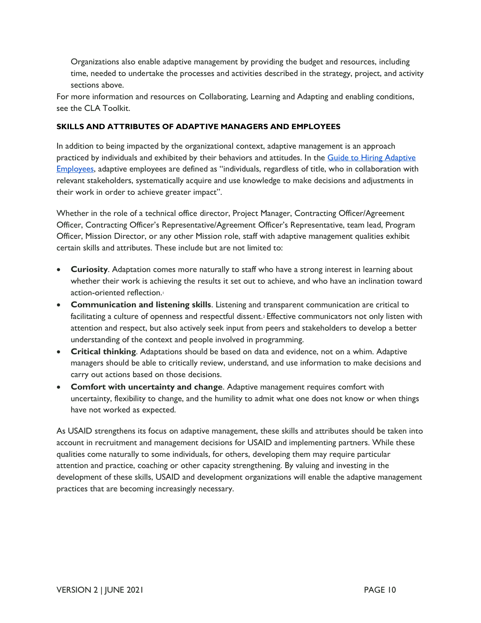Organizations also enable adaptive management by providing the budget and resources, including time, needed to undertake the processes and activities described in the strategy, project, and activity sections above.

For more information and resources on Collaborating, Learning and Adapting and enabling conditions, see the [CLA Toolkit.](https://usaidlearninglab.org/cla-toolkit) 

#### **SKILLS AND ATTRIBUTES OF ADAPTIVE MANAGERS AND EMPLOYEES**

In addition to being impacted by the organizational context, adaptive management is an approach practiced by individuals and exhibited by their behaviors and attitudes. In the [Guide to Hiring Adaptive](https://usaidlearninglab.org/library/hiring-adaptive-employees)  [Employees](https://usaidlearninglab.org/library/hiring-adaptive-employees), adaptive employees are defined as "individuals, regardless of title, who in collaboration with relevant stakeholders, systematically acquire and use knowledge to make decisions and adjustments in their work in order to achieve greater impact".

Whether in the role of a technical office director, Project Manager, Contracting Officer/Agreement Officer, Contracting Officer's Representative/Agreement Officer's Representative, team lead, Program Officer, Mission Director, or any other Mission role, staff with adaptive management qualities exhibit certain skills and attributes. These include but are not limited to:

- **Curiosity**. Adaptation comes more naturally to staff who have a strong interest in learning about whether their work is achieving the results it set out to achieve, and who have an inclination toward action-oriented reflection.<sup>1</sup>
- **Communication and listening skills**. Listening and transparent communication are critical to facilitating a culture of openness and respectful dissent.<sup>2</sup> Effective communicators not only listen with attention and respect, but also actively seek input from peers and stakeholders to develop a better understanding of the context and people involved in programming.
- **Critical thinking**. Adaptations should be based on data and evidence, not on a whim. Adaptive managers should be able to critically review, understand, and use information to make decisions and carry out actions based on those decisions.
- **Comfort with uncertainty and change**. Adaptive management requires comfort with uncertainty, flexibility to change, and the humility to admit what one does not know or when things have not worked as expected.

As USAID strengthens its focus on adaptive management, these skills and attributes should be taken into account in recruitment and management decisions for USAID and implementing partners. While these qualities come naturally to some individuals, for others, developing them may require particular attention and practice, coaching or other capacity strengthening. By valuing and investing in the development of these skills, USAID and development organizations will enable the adaptive management practices that are becoming increasingly necessary.